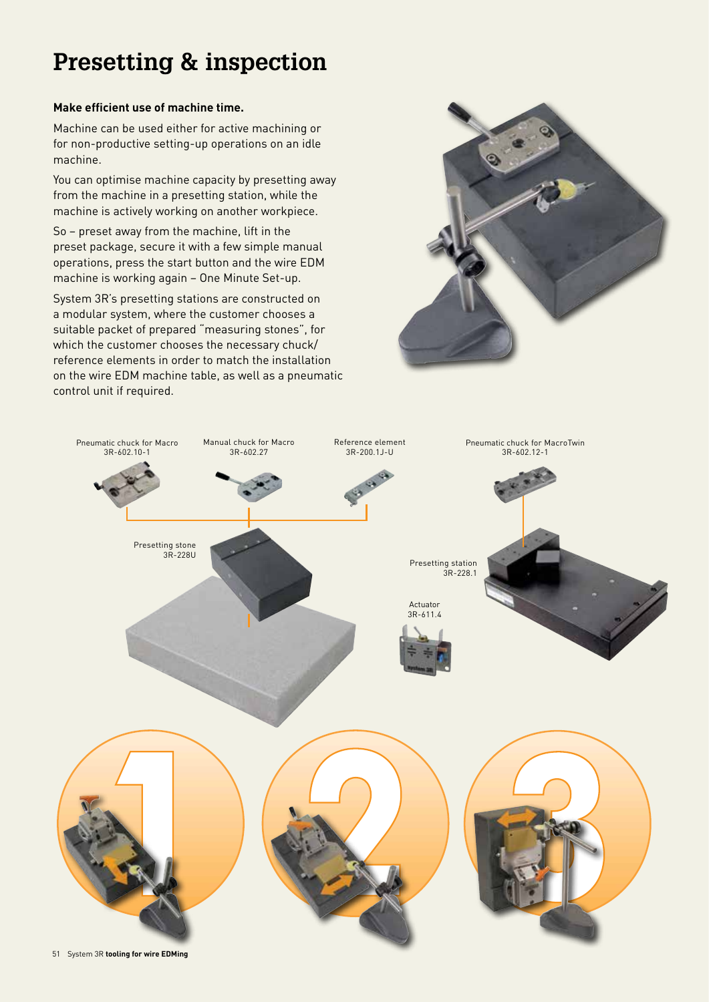# **Presetting & inspection**

# **Make efficient use of machine time.**

Machine can be used either for active machining or for non-productive setting-up operations on an idle machine.

You can optimise machine capacity by presetting away from the machine in a presetting station, while the machine is actively working on another workpiece.

So – preset away from the machine, lift in the preset package, secure it with a few simple manual operations, press the start button and the wire EDM machine is working again – One Minute Set-up.

System 3R's presetting stations are constructed on a modular system, where the customer chooses a suitable packet of prepared "measuring stones", for which the customer chooses the necessary chuck/ reference elements in order to match the installation on the wire EDM machine table, as well as a pneumatic control unit if required.



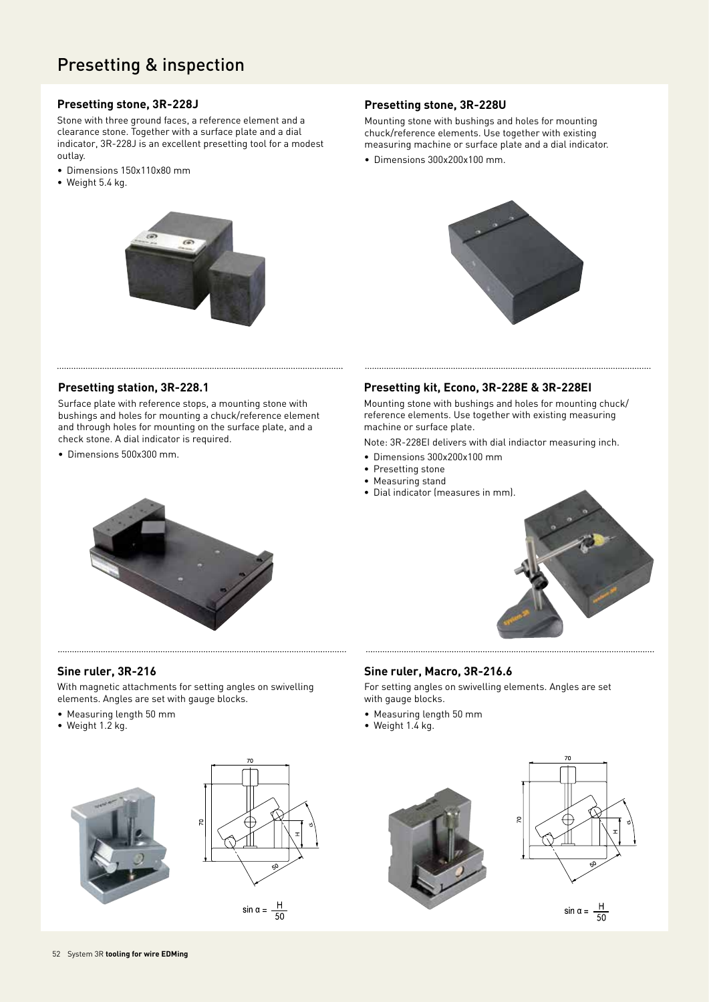# Presetting & inspection

#### **Presetting stone, 3R-228J**

Stone with three ground faces, a reference element and a clearance stone. Together with a surface plate and a dial indicator, 3R-228J is an excellent presetting tool for a modest outlay.

- Dimensions 150x110x80 mm
- Weight 5.4 kg.



### **Presetting stone, 3R-228U**

Mounting stone with bushings and holes for mounting chuck/reference elements. Use together with existing measuring machine or surface plate and a dial indicator.

• Dimensions 300x200x100 mm.



#### **Presetting station, 3R-228.1**

Surface plate with reference stops, a mounting stone with bushings and holes for mounting a chuck/reference element and through holes for mounting on the surface plate, and a check stone. A dial indicator is required.

• Dimensions 500x300 mm.

#### **Presetting kit, Econo, 3R-228E & 3R-228EI**

Mounting stone with bushings and holes for mounting chuck/ reference elements. Use together with existing measuring machine or surface plate.

Note: 3R-228EI delivers with dial indiactor measuring inch.

- Dimensions 300x200x100 mm
- Presetting stone
- Measuring stand
- Dial indicator (measures in mm).





#### **Sine ruler, 3R-216**

With magnetic attachments for setting angles on swivelling elements. Angles are set with gauge blocks.

- Measuring length 50 mm
- Weight 1.2 kg.





## **Sine ruler, Macro, 3R-216.6**

For setting angles on swivelling elements. Angles are set with gauge blocks.

- Measuring length 50 mm
- Weight 1.4 kg.





 $\sin \alpha = \frac{H}{50}$